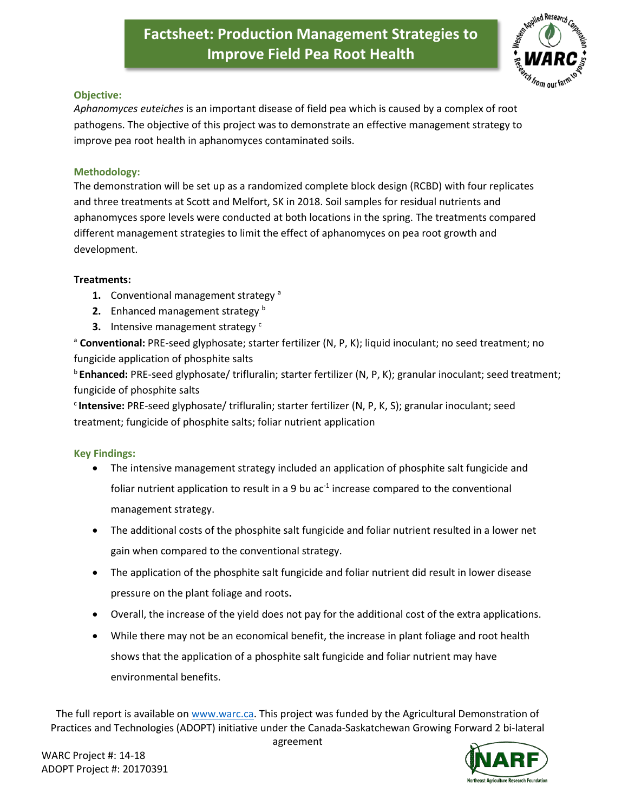# **Factsheet: Production Management Strategies to Improve Field Pea Root Health**



#### **Objective:**

*Aphanomyces euteiches* is an important disease of field pea which is caused by a complex of root pathogens. The objective of this project was to demonstrate an effective management strategy to improve pea root health in aphanomyces contaminated soils.

### **Methodology:**

The demonstration will be set up as a randomized complete block design (RCBD) with four replicates and three treatments at Scott and Melfort, SK in 2018. Soil samples for residual nutrients and aphanomyces spore levels were conducted at both locations in the spring. The treatments compared different management strategies to limit the effect of aphanomyces on pea root growth and development.

#### **Treatments:**

- **1.** Conventional management strategy<sup>a</sup>
- **2.** Enhanced management strategy **b**
- **3.** Intensive management strategy<sup>c</sup>

<sup>a</sup> **Conventional:** PRE-seed glyphosate; starter fertilizer (N, P, K); liquid inoculant; no seed treatment; no fungicide application of phosphite salts

<sup>b</sup>**Enhanced:** PRE-seed glyphosate/ trifluralin; starter fertilizer (N, P, K); granular inoculant; seed treatment; fungicide of phosphite salts

<sup>c</sup>**Intensive:** PRE-seed glyphosate/ trifluralin; starter fertilizer (N, P, K, S); granular inoculant; seed treatment; fungicide of phosphite salts; foliar nutrient application

## **Key Findings:**

- The intensive management strategy included an application of phosphite salt fungicide and foliar nutrient application to result in a 9 bu ac<sup>-1</sup> increase compared to the conventional management strategy.
- The additional costs of the phosphite salt fungicide and foliar nutrient resulted in a lower net gain when compared to the conventional strategy.
- The application of the phosphite salt fungicide and foliar nutrient did result in lower disease pressure on the plant foliage and roots**.**
- Overall, the increase of the yield does not pay for the additional cost of the extra applications.
- While there may not be an economical benefit, the increase in plant foliage and root health shows that the application of a phosphite salt fungicide and foliar nutrient may have environmental benefits.

The full report is available on [www.warc.ca.](http://www.warc.ca/) This project was funded by the Agricultural Demonstration of Practices and Technologies (ADOPT) initiative under the Canada-Saskatchewan Growing Forward 2 bi-lateral



agreement